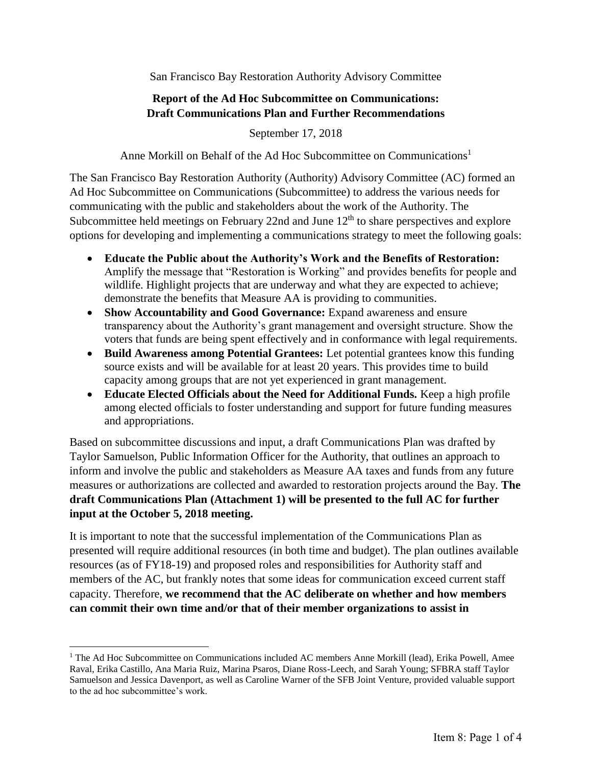San Francisco Bay Restoration Authority Advisory Committee

# **Report of the Ad Hoc Subcommittee on Communications: Draft Communications Plan and Further Recommendations**

September 17, 2018

Anne Morkill on Behalf of the Ad Hoc Subcommittee on Communications<sup>1</sup>

The San Francisco Bay Restoration Authority (Authority) Advisory Committee (AC) formed an Ad Hoc Subcommittee on Communications (Subcommittee) to address the various needs for communicating with the public and stakeholders about the work of the Authority. The Subcommittee held meetings on February 22nd and June  $12<sup>th</sup>$  to share perspectives and explore options for developing and implementing a communications strategy to meet the following goals:

- **Educate the Public about the Authority's Work and the Benefits of Restoration:** Amplify the message that "Restoration is Working" and provides benefits for people and wildlife. Highlight projects that are underway and what they are expected to achieve; demonstrate the benefits that Measure AA is providing to communities.
- **Show Accountability and Good Governance:** Expand awareness and ensure transparency about the Authority's grant management and oversight structure. Show the voters that funds are being spent effectively and in conformance with legal requirements.
- **Build Awareness among Potential Grantees:** Let potential grantees know this funding source exists and will be available for at least 20 years. This provides time to build capacity among groups that are not yet experienced in grant management.
- **Educate Elected Officials about the Need for Additional Funds.** Keep a high profile among elected officials to foster understanding and support for future funding measures and appropriations.

Based on subcommittee discussions and input, a draft Communications Plan was drafted by Taylor Samuelson, Public Information Officer for the Authority, that outlines an approach to inform and involve the public and stakeholders as Measure AA taxes and funds from any future measures or authorizations are collected and awarded to restoration projects around the Bay. **The draft Communications Plan (Attachment 1) will be presented to the full AC for further input at the October 5, 2018 meeting.** 

It is important to note that the successful implementation of the Communications Plan as presented will require additional resources (in both time and budget). The plan outlines available resources (as of FY18-19) and proposed roles and responsibilities for Authority staff and members of the AC, but frankly notes that some ideas for communication exceed current staff capacity. Therefore, **we recommend that the AC deliberate on whether and how members can commit their own time and/or that of their member organizations to assist in** 

 $\overline{a}$ 

<sup>&</sup>lt;sup>1</sup> The Ad Hoc Subcommittee on Communications included AC members Anne Morkill (lead), Erika Powell, Amee Raval, Erika Castillo, Ana Maria Ruiz, Marina Psaros, Diane Ross-Leech, and Sarah Young; SFBRA staff Taylor Samuelson and Jessica Davenport, as well as Caroline Warner of the SFB Joint Venture, provided valuable support to the ad hoc subcommittee's work.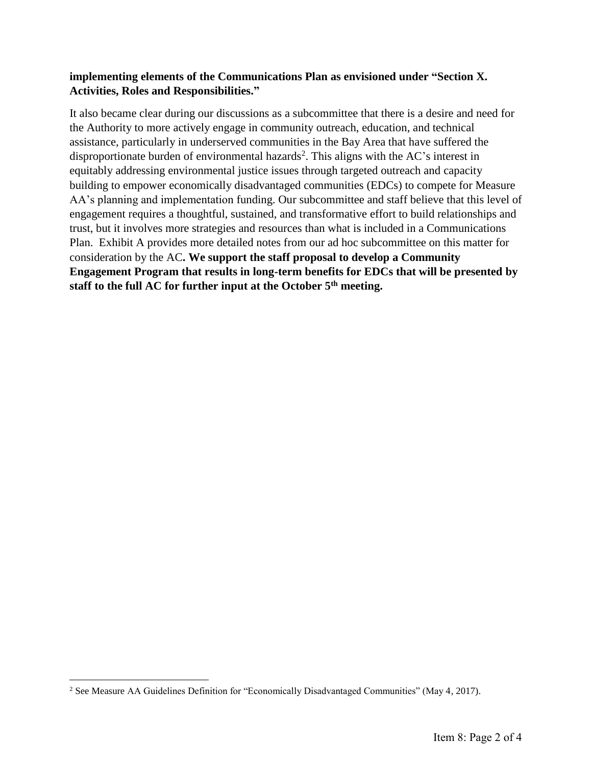## **implementing elements of the Communications Plan as envisioned under "Section X. Activities, Roles and Responsibilities."**

It also became clear during our discussions as a subcommittee that there is a desire and need for the Authority to more actively engage in community outreach, education, and technical assistance, particularly in underserved communities in the Bay Area that have suffered the disproportionate burden of environmental hazards<sup>2</sup>. This aligns with the AC's interest in equitably addressing environmental justice issues through targeted outreach and capacity building to empower economically disadvantaged communities (EDCs) to compete for Measure AA's planning and implementation funding. Our subcommittee and staff believe that this level of engagement requires a thoughtful, sustained, and transformative effort to build relationships and trust, but it involves more strategies and resources than what is included in a Communications Plan. Exhibit A provides more detailed notes from our ad hoc subcommittee on this matter for consideration by the AC**. We support the staff proposal to develop a Community Engagement Program that results in long-term benefits for EDCs that will be presented by staff to the full AC for further input at the October 5th meeting.** 

 $\overline{\phantom{a}}$ 

<sup>2</sup> See Measure AA Guidelines Definition for "Economically Disadvantaged Communities" (May 4, 2017).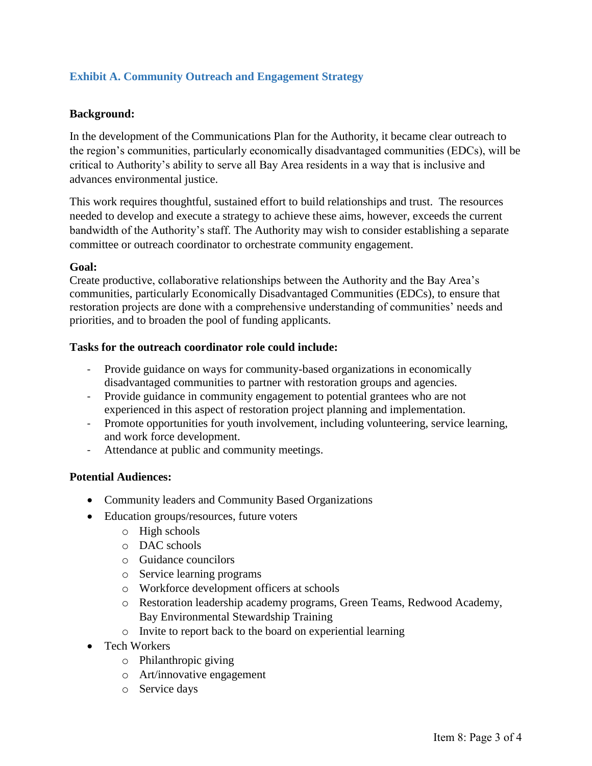# **Exhibit A. Community Outreach and Engagement Strategy**

### **Background:**

In the development of the Communications Plan for the Authority, it became clear outreach to the region's communities, particularly economically disadvantaged communities (EDCs), will be critical to Authority's ability to serve all Bay Area residents in a way that is inclusive and advances environmental justice.

This work requires thoughtful, sustained effort to build relationships and trust. The resources needed to develop and execute a strategy to achieve these aims, however, exceeds the current bandwidth of the Authority's staff. The Authority may wish to consider establishing a separate committee or outreach coordinator to orchestrate community engagement.

### **Goal:**

Create productive, collaborative relationships between the Authority and the Bay Area's communities, particularly Economically Disadvantaged Communities (EDCs), to ensure that restoration projects are done with a comprehensive understanding of communities' needs and priorities, and to broaden the pool of funding applicants.

#### **Tasks for the outreach coordinator role could include:**

- Provide guidance on ways for community-based organizations in economically disadvantaged communities to partner with restoration groups and agencies.
- Provide guidance in community engagement to potential grantees who are not experienced in this aspect of restoration project planning and implementation.
- Promote opportunities for youth involvement, including volunteering, service learning, and work force development.
- Attendance at public and community meetings.

### **Potential Audiences:**

- Community leaders and Community Based Organizations
- Education groups/resources, future voters
	- o High schools
	- o DAC schools
	- o Guidance councilors
	- o Service learning programs
	- o Workforce development officers at schools
	- o Restoration leadership academy programs, Green Teams, Redwood Academy, Bay Environmental Stewardship Training
	- o Invite to report back to the board on experiential learning
- Tech Workers
	- o Philanthropic giving
	- o Art/innovative engagement
	- o Service days